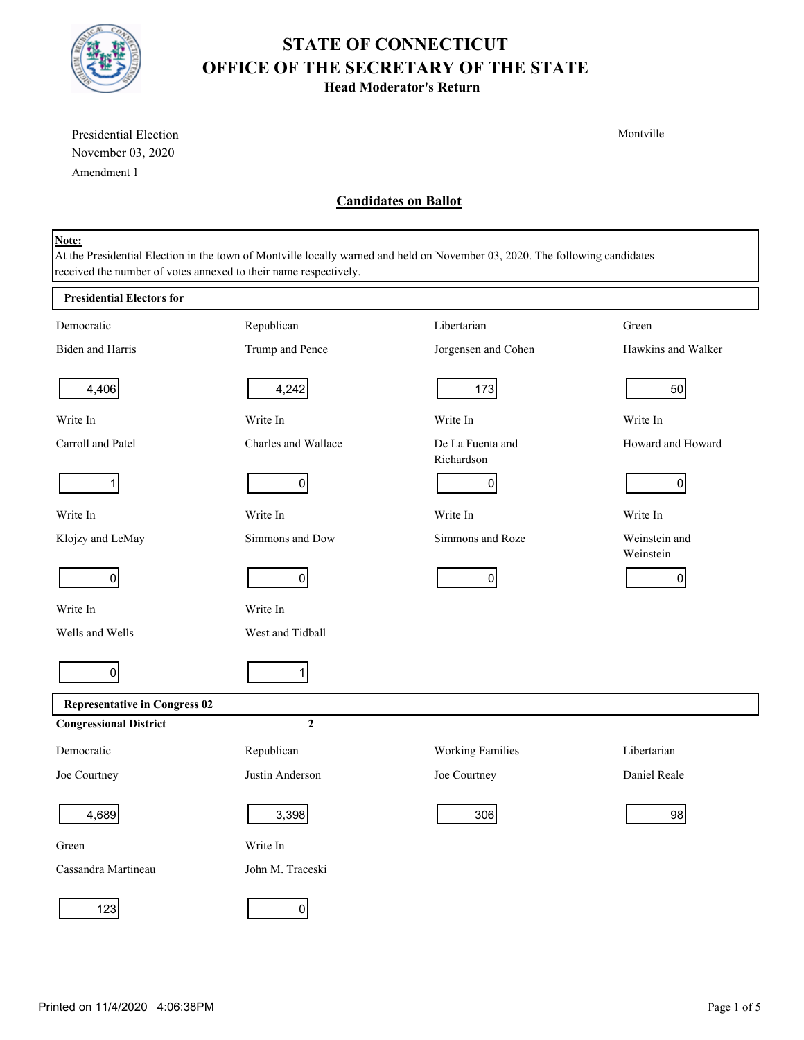

Presidential Election

## **STATE OF CONNECTICUT OFFICE OF THE SECRETARY OF THE STATE**

**Head Moderator's Return**

Montville

| November 03, 2020                                                                                                                                                                                         |                     |                                |                            |  |  |  |
|-----------------------------------------------------------------------------------------------------------------------------------------------------------------------------------------------------------|---------------------|--------------------------------|----------------------------|--|--|--|
| Amendment 1                                                                                                                                                                                               |                     |                                |                            |  |  |  |
| <b>Candidates on Ballot</b>                                                                                                                                                                               |                     |                                |                            |  |  |  |
| Note:<br>At the Presidential Election in the town of Montville locally warned and held on November 03, 2020. The following candidates<br>received the number of votes annexed to their name respectively. |                     |                                |                            |  |  |  |
| <b>Presidential Electors for</b>                                                                                                                                                                          |                     |                                |                            |  |  |  |
| Democratic                                                                                                                                                                                                | Republican          | Libertarian                    | Green                      |  |  |  |
| Biden and Harris                                                                                                                                                                                          | Trump and Pence     | Jorgensen and Cohen            | Hawkins and Walker         |  |  |  |
| 4,406                                                                                                                                                                                                     | 4,242               | 173                            | 50                         |  |  |  |
| Write In                                                                                                                                                                                                  | Write In            | Write In                       | Write In                   |  |  |  |
| Carroll and Patel                                                                                                                                                                                         | Charles and Wallace | De La Fuenta and<br>Richardson | Howard and Howard          |  |  |  |
| 1                                                                                                                                                                                                         | 0                   | 0                              | $\Omega$                   |  |  |  |
| Write In                                                                                                                                                                                                  | Write In            | Write In                       | Write In                   |  |  |  |
| Klojzy and LeMay                                                                                                                                                                                          | Simmons and Dow     | Simmons and Roze               | Weinstein and<br>Weinstein |  |  |  |
| $\overline{0}$                                                                                                                                                                                            | $\Omega$            | $\overline{0}$                 | 0                          |  |  |  |
| Write In                                                                                                                                                                                                  | Write In            |                                |                            |  |  |  |
| Wells and Wells                                                                                                                                                                                           | West and Tidball    |                                |                            |  |  |  |
| $\overline{0}$                                                                                                                                                                                            | 1                   |                                |                            |  |  |  |
| <b>Representative in Congress 02</b>                                                                                                                                                                      |                     |                                |                            |  |  |  |
| <b>Congressional District</b>                                                                                                                                                                             | $\boldsymbol{2}$    |                                |                            |  |  |  |
| Democratic                                                                                                                                                                                                | Republican          | <b>Working Families</b>        | Libertarian                |  |  |  |
| Joe Courtney                                                                                                                                                                                              | Justin Anderson     | Joe Courtney                   | Daniel Reale               |  |  |  |
| 4,689                                                                                                                                                                                                     | 3,398               | 306                            | 98                         |  |  |  |
| Green                                                                                                                                                                                                     | Write In            |                                |                            |  |  |  |
| Cassandra Martineau                                                                                                                                                                                       | John M. Traceski    |                                |                            |  |  |  |
| $123$                                                                                                                                                                                                     | $\overline{0}$      |                                |                            |  |  |  |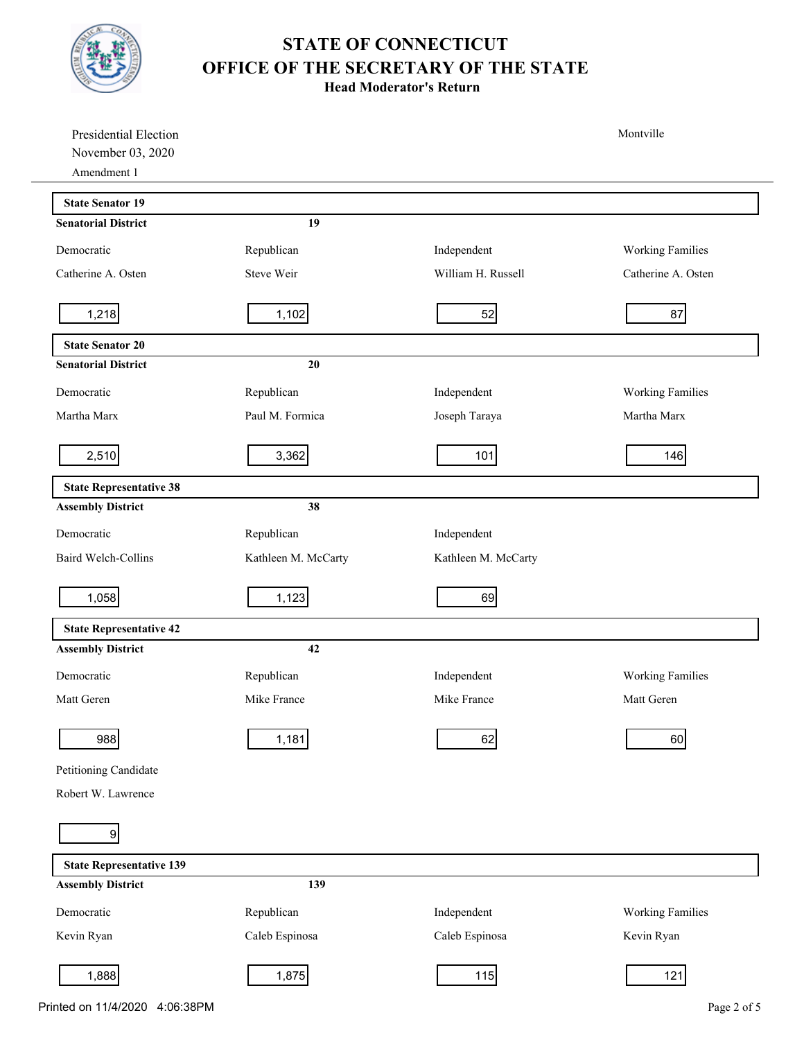

**Head Moderator's Return**

| Presidential Election            |                     |                     | Montville               |
|----------------------------------|---------------------|---------------------|-------------------------|
| November 03, 2020<br>Amendment 1 |                     |                     |                         |
| <b>State Senator 19</b>          |                     |                     |                         |
| <b>Senatorial District</b>       | 19                  |                     |                         |
| Democratic                       | Republican          | Independent         | <b>Working Families</b> |
| Catherine A. Osten               | Steve Weir          | William H. Russell  | Catherine A. Osten      |
| 1,218                            | 1,102               | 52                  | 87                      |
| <b>State Senator 20</b>          |                     |                     |                         |
| <b>Senatorial District</b>       | 20                  |                     |                         |
| Democratic                       | Republican          | Independent         | <b>Working Families</b> |
| Martha Marx                      | Paul M. Formica     | Joseph Taraya       | Martha Marx             |
| 2,510                            | 3,362               | 101                 | 146                     |
| <b>State Representative 38</b>   |                     |                     |                         |
| <b>Assembly District</b>         | 38                  |                     |                         |
| Democratic                       | Republican          | Independent         |                         |
| Baird Welch-Collins              | Kathleen M. McCarty | Kathleen M. McCarty |                         |
| 1,058                            | 1,123               | 69                  |                         |
| <b>State Representative 42</b>   |                     |                     |                         |
| <b>Assembly District</b>         | 42                  |                     |                         |
| Democratic                       | Republican          | Independent         | <b>Working Families</b> |
| Matt Geren                       | Mike France         | Mike France         | Matt Geren              |
| 988                              | 1,181               | 62                  | 60                      |
| Petitioning Candidate            |                     |                     |                         |
| Robert W. Lawrence               |                     |                     |                         |
| $\overline{9}$                   |                     |                     |                         |
| <b>State Representative 139</b>  |                     |                     |                         |
| <b>Assembly District</b>         | 139                 |                     |                         |
| Democratic                       | Republican          | Independent         | <b>Working Families</b> |
| Kevin Ryan                       | Caleb Espinosa      | Caleb Espinosa      | Kevin Ryan              |
| 1,888                            | 1,875               | 115                 | 121                     |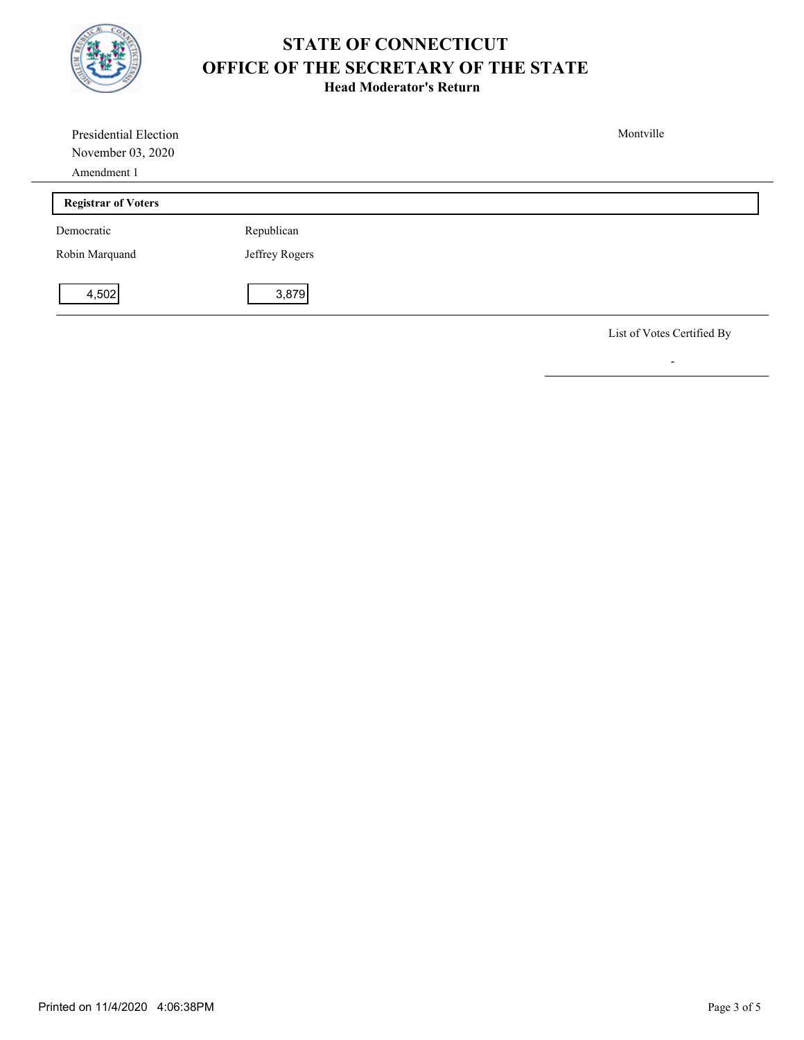

**Head Moderator's Return**

| Presidential Election      |                | Montville                  |
|----------------------------|----------------|----------------------------|
| November 03, 2020          |                |                            |
| Amendment 1                |                |                            |
| <b>Registrar of Voters</b> |                |                            |
| Democratic                 | Republican     |                            |
| Robin Marquand             | Jeffrey Rogers |                            |
| 4,502                      | 3,879          |                            |
|                            |                | List of Votes Certified By |

-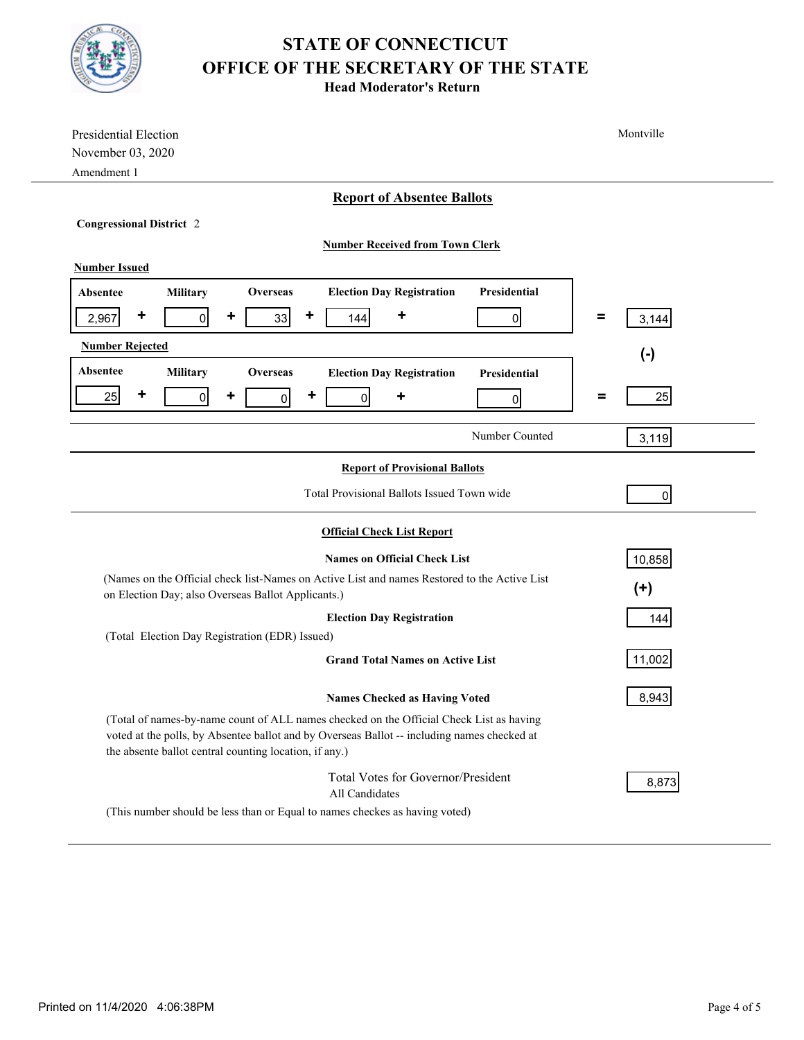

**Head Moderator's Return**

| Presidential Election<br>November 03, 2020<br>Amendment 1                                                                                                                                                                                        | Montville  |  |  |  |  |
|--------------------------------------------------------------------------------------------------------------------------------------------------------------------------------------------------------------------------------------------------|------------|--|--|--|--|
| <b>Report of Absentee Ballots</b>                                                                                                                                                                                                                |            |  |  |  |  |
| <b>Congressional District 2</b>                                                                                                                                                                                                                  |            |  |  |  |  |
| <b>Number Received from Town Clerk</b>                                                                                                                                                                                                           |            |  |  |  |  |
| <b>Number Issued</b>                                                                                                                                                                                                                             |            |  |  |  |  |
| <b>Election Day Registration</b><br>Presidential<br><b>Military</b><br>Overseas<br><b>Absentee</b>                                                                                                                                               |            |  |  |  |  |
| ٠<br>٠<br>٠<br>٠<br>33<br>$\overline{0}$<br>2,967<br>144<br>$\overline{0}$                                                                                                                                                                       | =<br>3,144 |  |  |  |  |
| <b>Number Rejected</b>                                                                                                                                                                                                                           | $(\cdot)$  |  |  |  |  |
| Absentee<br><b>Military</b><br><b>Overseas</b><br><b>Election Day Registration</b><br>Presidential                                                                                                                                               |            |  |  |  |  |
| ٠<br>٠<br>٠<br>25<br>$\overline{0}$<br>$\overline{0}$<br>٠<br>$\overline{0}$<br> 0                                                                                                                                                               | Ξ<br>25    |  |  |  |  |
| Number Counted                                                                                                                                                                                                                                   | 3,119      |  |  |  |  |
| <b>Report of Provisional Ballots</b>                                                                                                                                                                                                             |            |  |  |  |  |
| Total Provisional Ballots Issued Town wide<br>$\overline{0}$                                                                                                                                                                                     |            |  |  |  |  |
| <b>Official Check List Report</b>                                                                                                                                                                                                                |            |  |  |  |  |
| <b>Names on Official Check List</b>                                                                                                                                                                                                              | 10,858     |  |  |  |  |
| (Names on the Official check list-Names on Active List and names Restored to the Active List                                                                                                                                                     |            |  |  |  |  |
| $(+)$<br>on Election Day; also Overseas Ballot Applicants.)                                                                                                                                                                                      |            |  |  |  |  |
| <b>Election Day Registration</b><br>144                                                                                                                                                                                                          |            |  |  |  |  |
| (Total Election Day Registration (EDR) Issued)<br><b>Grand Total Names on Active List</b>                                                                                                                                                        | 11,002     |  |  |  |  |
| <b>Names Checked as Having Voted</b>                                                                                                                                                                                                             | 8,943      |  |  |  |  |
| (Total of names-by-name count of ALL names checked on the Official Check List as having<br>voted at the polls, by Absentee ballot and by Overseas Ballot -- including names checked at<br>the absente ballot central counting location, if any.) |            |  |  |  |  |
| Total Votes for Governor/President<br>All Candidates                                                                                                                                                                                             | 8,873      |  |  |  |  |
| (This number should be less than or Equal to names checkes as having voted)                                                                                                                                                                      |            |  |  |  |  |